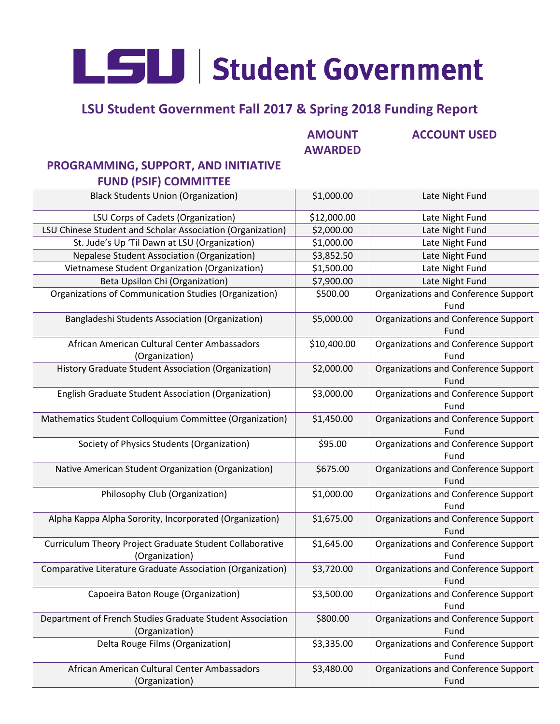LSU Student Government

## **LSU Student Government Fall 2017 & Spring 2018 Funding Report**

**AMOUNT AWARDED**

#### **ACCOUNT USED**

### **PROGRAMMING, SUPPORT, AND INITIATIVE FUND (PSIF) COMMITTEE**

| <b>Black Students Union (Organization)</b>                                  | \$1,000.00  | Late Night Fund                                     |
|-----------------------------------------------------------------------------|-------------|-----------------------------------------------------|
| LSU Corps of Cadets (Organization)                                          | \$12,000.00 | Late Night Fund                                     |
| LSU Chinese Student and Scholar Association (Organization)                  | \$2,000.00  | Late Night Fund                                     |
| St. Jude's Up 'Til Dawn at LSU (Organization)                               | \$1,000.00  | Late Night Fund                                     |
| <b>Nepalese Student Association (Organization)</b>                          | \$3,852.50  | Late Night Fund                                     |
| Vietnamese Student Organization (Organization)                              | \$1,500.00  | Late Night Fund                                     |
| Beta Upsilon Chi (Organization)                                             | \$7,900.00  | Late Night Fund                                     |
| Organizations of Communication Studies (Organization)                       | \$500.00    | <b>Organizations and Conference Support</b><br>Fund |
| Bangladeshi Students Association (Organization)                             | \$5,000.00  | Organizations and Conference Support<br>Fund        |
| African American Cultural Center Ambassadors<br>(Organization)              | \$10,400.00 | Organizations and Conference Support<br>Fund        |
| History Graduate Student Association (Organization)                         | \$2,000.00  | Organizations and Conference Support<br>Fund        |
| English Graduate Student Association (Organization)                         | \$3,000.00  | Organizations and Conference Support<br>Fund        |
| Mathematics Student Colloquium Committee (Organization)                     | \$1,450.00  | Organizations and Conference Support<br>Fund        |
| Society of Physics Students (Organization)                                  | \$95.00     | Organizations and Conference Support<br>Fund        |
| Native American Student Organization (Organization)                         | \$675.00    | Organizations and Conference Support<br>Fund        |
| Philosophy Club (Organization)                                              | \$1,000.00  | Organizations and Conference Support<br>Fund        |
| Alpha Kappa Alpha Sorority, Incorporated (Organization)                     | \$1,675.00  | <b>Organizations and Conference Support</b><br>Fund |
| Curriculum Theory Project Graduate Student Collaborative<br>(Organization)  | \$1,645.00  | <b>Organizations and Conference Support</b><br>Fund |
| Comparative Literature Graduate Association (Organization)                  | \$3,720.00  | Organizations and Conference Support<br>Fund        |
| Capoeira Baton Rouge (Organization)                                         | \$3,500.00  | Organizations and Conference Support<br>Fund        |
| Department of French Studies Graduate Student Association<br>(Organization) | \$800.00    | Organizations and Conference Support<br>Fund        |
| Delta Rouge Films (Organization)                                            | \$3,335.00  | Organizations and Conference Support<br>Fund        |
| African American Cultural Center Ambassadors<br>(Organization)              | \$3,480.00  | Organizations and Conference Support<br>Fund        |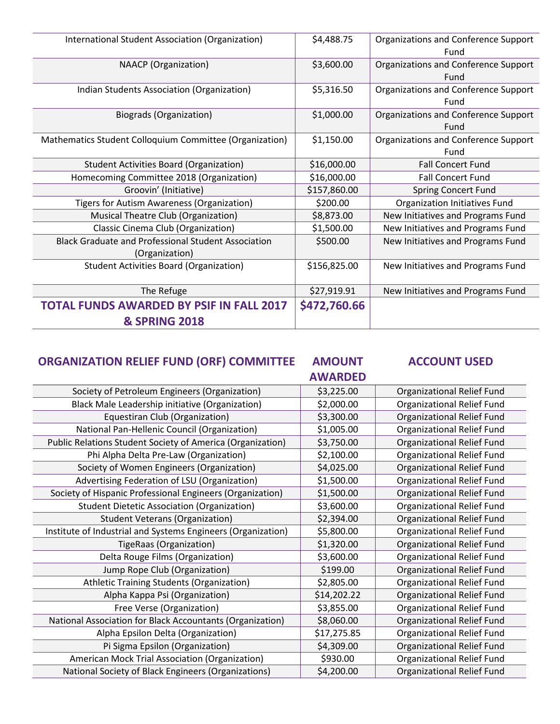| International Student Association (Organization)           | \$4,488.75   | Organizations and Conference Support |
|------------------------------------------------------------|--------------|--------------------------------------|
|                                                            |              | Fund                                 |
| <b>NAACP</b> (Organization)                                | \$3,600.00   | Organizations and Conference Support |
|                                                            |              | Fund                                 |
| Indian Students Association (Organization)                 | \$5,316.50   | Organizations and Conference Support |
|                                                            |              | Fund                                 |
| <b>Biograds (Organization)</b>                             | \$1,000.00   | Organizations and Conference Support |
|                                                            |              | Fund                                 |
| Mathematics Student Colloquium Committee (Organization)    | \$1,150.00   | Organizations and Conference Support |
|                                                            |              | Fund                                 |
| <b>Student Activities Board (Organization)</b>             | \$16,000.00  | <b>Fall Concert Fund</b>             |
| Homecoming Committee 2018 (Organization)                   | \$16,000.00  | <b>Fall Concert Fund</b>             |
| Groovin' (Initiative)                                      | \$157,860.00 | <b>Spring Concert Fund</b>           |
| Tigers for Autism Awareness (Organization)                 | \$200.00     | Organization Initiatives Fund        |
| Musical Theatre Club (Organization)                        | \$8,873.00   | New Initiatives and Programs Fund    |
| Classic Cinema Club (Organization)                         | \$1,500.00   | New Initiatives and Programs Fund    |
| <b>Black Graduate and Professional Student Association</b> | \$500.00     | New Initiatives and Programs Fund    |
| (Organization)                                             |              |                                      |
| <b>Student Activities Board (Organization)</b>             | \$156,825.00 | New Initiatives and Programs Fund    |
|                                                            |              |                                      |
| The Refuge                                                 | \$27,919.91  | New Initiatives and Programs Fund    |
| <b>TOTAL FUNDS AWARDED BY PSIF IN FALL 2017</b>            | \$472,760.66 |                                      |
| <b>&amp; SPRING 2018</b>                                   |              |                                      |

#### **ORGANIZATION RELIEF FUND (ORF) COMMITTEE AMOUNT ACCOUNT USED**

# **AWARDED**

|                                                              | AWARDED     |                                   |
|--------------------------------------------------------------|-------------|-----------------------------------|
| Society of Petroleum Engineers (Organization)                | \$3,225.00  | Organizational Relief Fund        |
| Black Male Leadership initiative (Organization)              | \$2,000.00  | Organizational Relief Fund        |
| Equestiran Club (Organization)                               | \$3,300.00  | Organizational Relief Fund        |
| National Pan-Hellenic Council (Organization)                 | \$1,005.00  | Organizational Relief Fund        |
| Public Relations Student Society of America (Organization)   | \$3,750.00  | Organizational Relief Fund        |
| Phi Alpha Delta Pre-Law (Organization)                       | \$2,100.00  | Organizational Relief Fund        |
| Society of Women Engineers (Organization)                    | \$4,025.00  | Organizational Relief Fund        |
| Advertising Federation of LSU (Organization)                 | \$1,500.00  | Organizational Relief Fund        |
| Society of Hispanic Professional Engineers (Organization)    | \$1,500.00  | Organizational Relief Fund        |
| <b>Student Dietetic Association (Organization)</b>           | \$3,600.00  | Organizational Relief Fund        |
| <b>Student Veterans (Organization)</b>                       | \$2,394.00  | Organizational Relief Fund        |
| Institute of Industrial and Systems Engineers (Organization) | \$5,800.00  | Organizational Relief Fund        |
| TigeRaas (Organization)                                      | \$1,320.00  | Organizational Relief Fund        |
| Delta Rouge Films (Organization)                             | \$3,600.00  | Organizational Relief Fund        |
| Jump Rope Club (Organization)                                | \$199.00    | Organizational Relief Fund        |
| Athletic Training Students (Organization)                    | \$2,805.00  | <b>Organizational Relief Fund</b> |
| Alpha Kappa Psi (Organization)                               | \$14,202.22 | Organizational Relief Fund        |
| Free Verse (Organization)                                    | \$3,855.00  | Organizational Relief Fund        |
| National Association for Black Accountants (Organization)    | \$8,060.00  | Organizational Relief Fund        |
| Alpha Epsilon Delta (Organization)                           | \$17,275.85 | Organizational Relief Fund        |
| Pi Sigma Epsilon (Organization)                              | \$4,309.00  | Organizational Relief Fund        |
| American Mock Trial Association (Organization)               | \$930.00    | Organizational Relief Fund        |
| National Society of Black Engineers (Organizations)          | \$4,200.00  | Organizational Relief Fund        |
|                                                              |             |                                   |